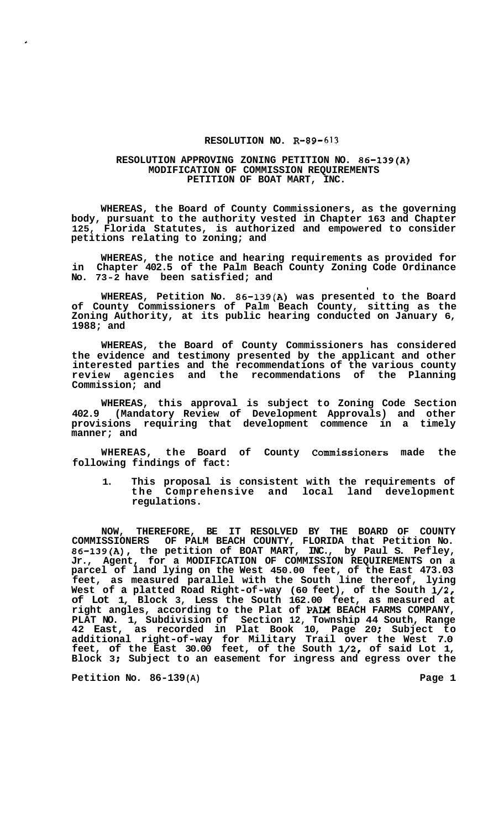## **RESOLUTION NO. R-89-613**

## **RESOLUTION APPROVING ZONING PETITION NO. 86-139(A) MODIFICATION OF COMMISSION REQUIREMENTS PETITION OF BOAT MART, INC.**

**WHEREAS, the Board of County Commissioners, as the governing body, pursuant to the authority vested in Chapter 163 and Chapter 125, Florida Statutes, is authorized and empowered to consider petitions relating to zoning; and** 

**WHEREAS, the notice and hearing requirements as provided for in Chapter 402.5 of the Palm Beach County Zoning Code Ordinance No. 73-2 have been satisfied; and** 

I

**WHEREAS, Petition No. 86-139(A) was presented to the Board of County Commissioners of Palm Beach County, sitting as the Zoning Authority, at its public hearing conducted on January 6, 1988; and** 

**WHEREAS, the Board of County Commissioners has considered the evidence and testimony presented by the applicant and other interested parties and the recommendations of the various county review agencies and the recommendations of the Planning Commission; and** 

**WHEREAS, this approval is subject to Zoning Code Section 402.9 (Mandatory Review of Development Approvals) and other provisions requiring that development commence in a timely manner; and** 

**WHEREAS, the Board of County Commissioners made the following findings of fact:** 

**1. This proposal is consistent with the requirements of the Comprehensive and local land development regulations.** 

**NOW, THEREFORE, BE IT RESOLVED BY THE BOARD OF COUNTY COMMISSIONERS OF PALM BEACH COUNTY, FLORIDA that Petition No. 86-139(A), the petition of BOAT MART, INC., by Paul S. Pefley, Jr., Agent, for a MODIFICATION OF COMMISSION REQUIREMENTS on a parcel of land lying on the West 450.00 feet, of the East 473.03 feet, as measured parallel with the South line thereof, lying West of a platted Road Right-of-way (60 feet), of the South 1/2, of Lot 1, Block 3, Less the South 162.00 feet, as measured at right angles, according to the Plat of PAM BEACH FARMS COMPANY, PLAT NO. 1, Subdivision of Section 12, Township 44 South, Range 42 East, as recorded in Plat Book 10, Page 20** ; **Subject to additional right-of-way for Military Trail over the West 7.0 feet, of the East 30.00 feet, of the South 1/2, of said Lot 1, Block 3** ; **Subject to an easement for ingress and egress over the** 

**Petition No. 86-139(A) Page 1** 

**c**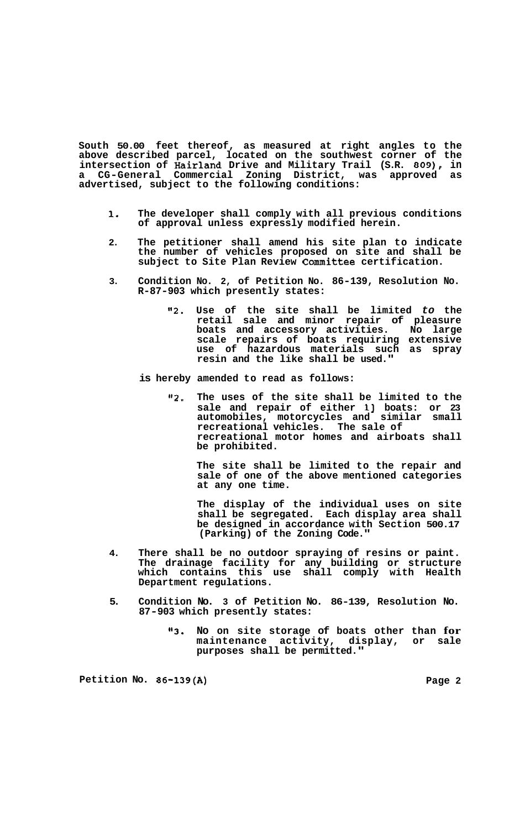**South 50.00 feet thereof, as measured at right angles to the above described parcel, located on the southwest corner of the intersection of Hairland Drive and Military Trail (S.R.** *809),* **in a CG-General Commercial Zoning District, was approved as advertised, subject to the following conditions:** 

- **1. The developer shall comply with all previous conditions of approval unless expressly modified herein.**
- **2. The petitioner shall amend his site plan to indicate the number of vehicles proposed on site and shall be subject to Site Plan Review Committee certification.**
- **3. Condition No. 2, of Petition No. 86-139, Resolution No. R-87-903 which presently states:** 
	- **"2. Use of the site shall be limited** *to* **the retail sale and minor repair of pleasure boats and accessory activities. No large scale repairs of boats requiring extensive use of hazardous materials such as spray resin and the like shall be used."**
	- **is hereby amended to read as follows:** 
		- **"2. The uses of the site shall be limited to the sale and repair of either 13 boats: or 23 automobiles, motorcycles and similar small recreational vehicles. The sale of recreational motor homes and airboats shall be prohibited.**

**The site shall be limited to the repair and sale of one of the above mentioned categories at any one time.** 

**The display of the individual uses on site shall be segregated. Each display area shall be designed in accordance with Section 500.17 (Parking) of the Zoning Code."** 

- **4. There shall be no outdoor spraying of resins or paint. The drainage facility for any building or structure which contains this use shall comply with Health Department regulations.**
- **5. Condition No. 3 of Petition No. 86-139, Resolution No. 87-903 which presently states:** 
	- **"3. No on site storage of boats other than for maintenance activity, display, or sale purposes shall be permitted."**

**Petition No. 86-139(A) Page 2**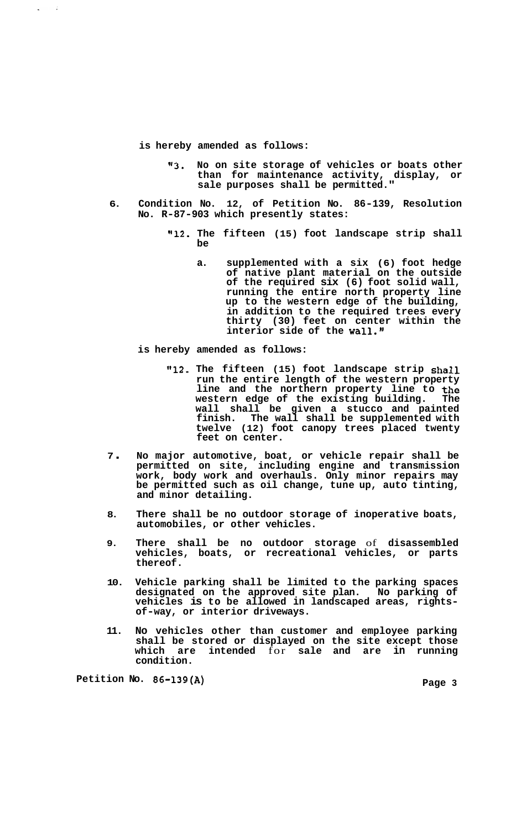**is hereby amended as follows:** 

 $\bar{z}$ 

- **113. No on site storage of vehicles or boats other than for maintenance activity, display, or sale purposes shall be permitted."**
- **6. Condition No. 12, of Petition No. 86-139, Resolution No. R-87-903 which presently states:** 
	- **Il12. The fifteen (15) foot landscape strip shall be** 
		- **a. supplemented with a six (6) foot hedge of native plant material on the outside of the required six (6) foot solid wall, running the entire north property line up to the western edge of the building, in addition to the required trees every thirty (30) feet on center within the interior side of the wall."**

**is hereby amended as follows:** 

- **"12. The fifteen (15) foot landscape strip shall run the entire length of the western property line and the northern property line to the western edge of the existing building. The wall shall be given a stucco and painted finish. The wall shall be supplemented with twelve (12) foot canopy trees placed twenty feet on center.**
- **<sup>7</sup>**. **No major automotive, boat, or vehicle repair shall be permitted on site, including engine and transmission work, body work and overhauls. Only minor repairs may be permitted such as oil change, tune up, auto tinting, and minor detailing.**
- **8. There shall be no outdoor storage of inoperative boats, automobiles, or other vehicles.**
- **9. There shall be no outdoor storage** of **disassembled vehicles, boats, or recreational vehicles, or parts thereof.**
- **10. Vehicle parking shall be limited to the parking spaces designated on the approved site plan. No parking of vehicles is to be allowed in landscaped areas, rights- of-way, or interior driveways.**
- **11. No vehicles other than customer and employee parking shall be stored or displayed on the site except those which are intended** for **sale and are in running condition.**

**Petition No. 86-139(A)** Page 3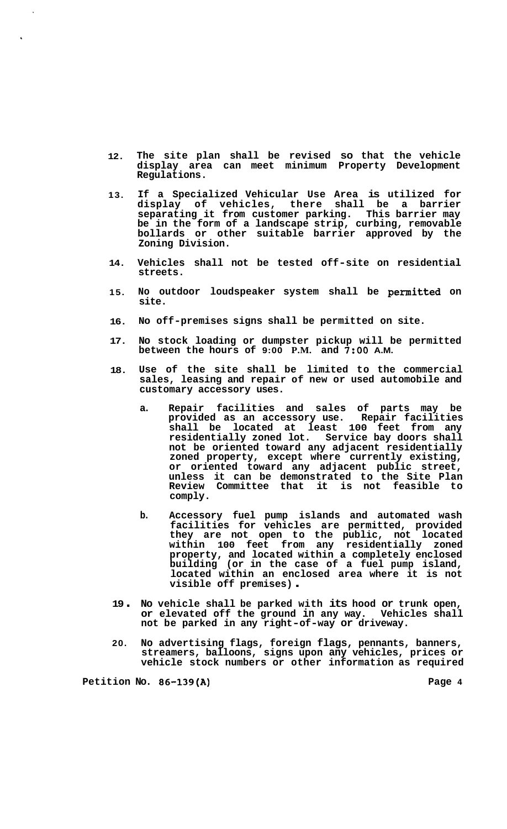- **12. The site plan shall be revised so that the vehicle display area can meet minimum Property Development Regulations.**
- **13. If a Specialized Vehicular Use Area is utilized for display of vehicles, there shall be a barrier separating it from customer parking. This barrier may be in the form of a landscape strip, curbing, removable bollards or other suitable barrier approved by the Zoning Division.**
- **14. Vehicles shall not be tested off-site on residential streets.**
- **15. No outdoor loudspeaker system shall be permitted on site.**
- **16. No off-premises signs shall be permitted on site.**
- **17. No stock loading or dumpster pickup will be permitted between the hours of 9:00 P.M. and** *7:OO* **A.M.**
- **18. Use of the site shall be limited to the commercial sales, leasing and repair of new or used automobile and customary accessory uses.** 
	- **a. Repair facilities and sales of parts may be provided as an accessory use. Repair facilities shall be located at least 100 feet from any residentially zoned lot. Service bay doors shall not be oriented toward any adjacent residentially zoned property, except where currently existing, or oriented toward any adjacent public street, unless it can be demonstrated to the Site Plan Review Committee that it is not feasible to comply.**
	- **b. Accessory fuel pump islands and automated wash facilities for vehicles are permitted, provided they are not open to the public, not located within 100 feet from any residentially zoned property, and located within a completely enclosed building (or in the case of a fuel pump island, located within an enclosed area where it is not visible off premises)** .
- **<sup>19</sup>**. **No vehicle shall be parked with its hood or trunk open, or elevated off the ground in any way. Vehicles shall not be parked in any right-of-way or driveway.**
- **20. No advertising flags, foreign flags, pennants, banners, streamers, balloons, signs upon any vehicles, prices or vehicle stock numbers or other information as required**

**Petition No. 86-139(A) Page 4** 

 $\ddot{\phantom{0}}$